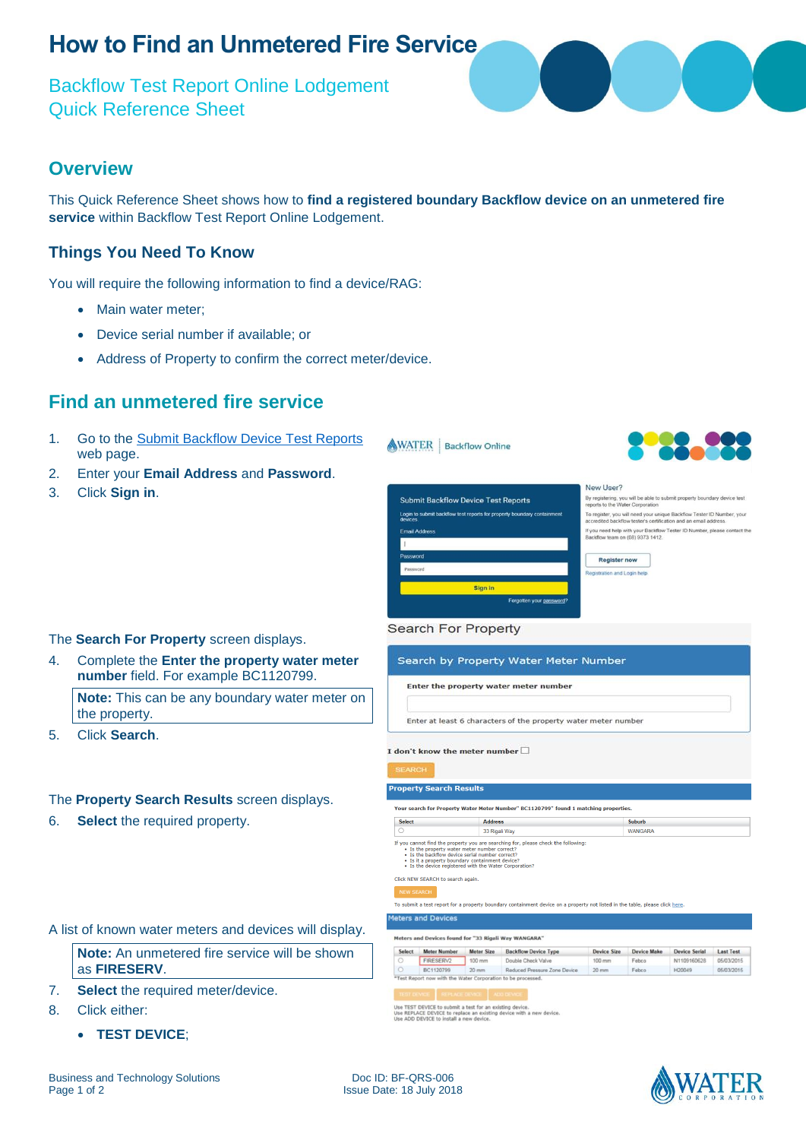# **How to Find an Unmetered Fire Service**

Backflow Test Report Online Lodgement Quick Reference Sheet

### **Overview**

This Quick Reference Sheet shows how to **find a registered boundary Backflow device on an unmetered fire service** within Backflow Test Report Online Lodgement.

### **Things You Need To Know**

You will require the following information to find a device/RAG:

- Main water meter;
- Device serial number if available; or
- Address of Property to confirm the correct meter/device.

## **Find an unmetered fire service**

- 1. Go to the [Submit Backflow Device Test Reports](https://backflow.watercorporation.com.au/) web page.
- 2. Enter your **Email Address** and **Password**.
- 3. Click **Sign in**.



Search by Property Water Meter Number

Enter at least 6 characters of the property water meter number

Enter the property water meter number



By registering, you will be able to submit property boundary device test To register, you will need your unique Backflow Tester ID Number, your<br>accredited backflow tester's certification and an email address. If you need help with your Backflow Tester ID Number, please contact the<br>Backflow team on (08) 9373 1412.

### The **Search For Property** screen displays.

4. Complete the **Enter the property water meter number** field. For example BC1120799.

**Note:** This can be any boundary water meter on the property.

5. Click **Search**.

#### The **Property Search Results** screen displays.

6. **Select** the required property.

A list of known water meters and devices will display.

**Note:** An unmetered fire service will be shown as **FIRESERV**.

- 7. **Select** the required meter/device.
- 8. Click either:
	- **TEST DEVICE**;



**Search For Property** 

Use TEST DEVICE to submit a test for an existing device.<br>Use REPLACE DEVICE to replace an existing device with a new device<br>Use ADD DEVICE to install a new device.